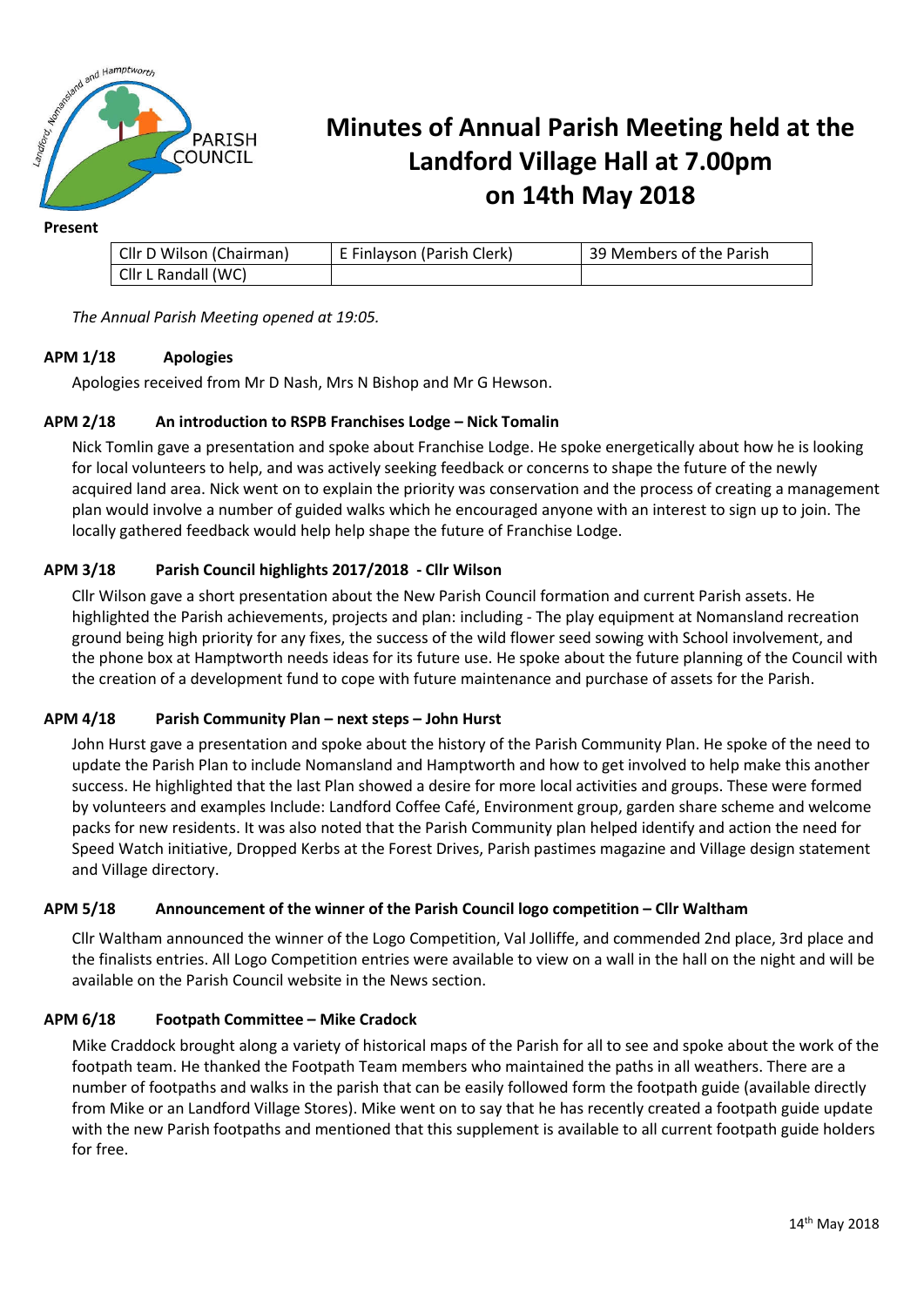

## **Minutes of Annual Parish Meeting held at the Landford Village Hall at 7.00pm on 14th May 2018**

#### **Present**

| Cllr D Wilson (Chairman) | E Finlayson (Parish Clerk) | 39 Members of the Parish |
|--------------------------|----------------------------|--------------------------|
| Cllr L Randall (WC)      |                            |                          |

*The Annual Parish Meeting opened at 19:05.*

## **APM 1/18 Apologies**

Apologies received from Mr D Nash, Mrs N Bishop and Mr G Hewson.

## **APM 2/18 An introduction to RSPB Franchises Lodge – Nick Tomalin**

Nick Tomlin gave a presentation and spoke about Franchise Lodge. He spoke energetically about how he is looking for local volunteers to help, and was actively seeking feedback or concerns to shape the future of the newly acquired land area. Nick went on to explain the priority was conservation and the process of creating a management plan would involve a number of guided walks which he encouraged anyone with an interest to sign up to join. The locally gathered feedback would help help shape the future of Franchise Lodge.

## **APM 3/18 Parish Council highlights 2017/2018 - Cllr Wilson**

Cllr Wilson gave a short presentation about the New Parish Council formation and current Parish assets. He highlighted the Parish achievements, projects and plan: including - The play equipment at Nomansland recreation ground being high priority for any fixes, the success of the wild flower seed sowing with School involvement, and the phone box at Hamptworth needs ideas for its future use. He spoke about the future planning of the Council with the creation of a development fund to cope with future maintenance and purchase of assets for the Parish.

### **APM 4/18 Parish Community Plan – next steps – John Hurst**

John Hurst gave a presentation and spoke about the history of the Parish Community Plan. He spoke of the need to update the Parish Plan to include Nomansland and Hamptworth and how to get involved to help make this another success. He highlighted that the last Plan showed a desire for more local activities and groups. These were formed by volunteers and examples Include: Landford Coffee Café, Environment group, garden share scheme and welcome packs for new residents. It was also noted that the Parish Community plan helped identify and action the need for Speed Watch initiative, Dropped Kerbs at the Forest Drives, Parish pastimes magazine and Village design statement and Village directory.

### **APM 5/18 Announcement of the winner of the Parish Council logo competition – Cllr Waltham**

Cllr Waltham announced the winner of the Logo Competition, Val Jolliffe, and commended 2nd place, 3rd place and the finalists entries. All Logo Competition entries were available to view on a wall in the hall on the night and will be available on the Parish Council website in the News section.

### **APM 6/18 Footpath Committee – Mike Cradock**

Mike Craddock brought along a variety of historical maps of the Parish for all to see and spoke about the work of the footpath team. He thanked the Footpath Team members who maintained the paths in all weathers. There are a number of footpaths and walks in the parish that can be easily followed form the footpath guide (available directly from Mike or an Landford Village Stores). Mike went on to say that he has recently created a footpath guide update with the new Parish footpaths and mentioned that this supplement is available to all current footpath guide holders for free.